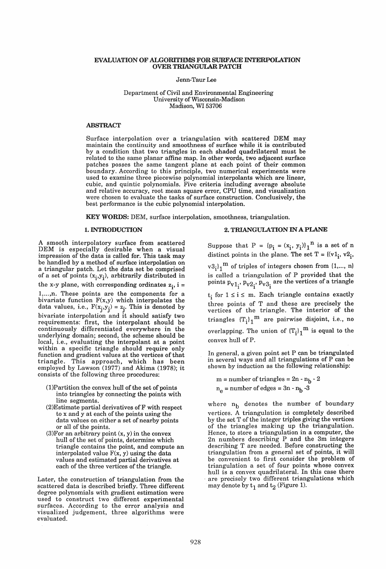### EVALUATION OF ALGORITHMS FOR SURFACE INTERPOLATION OVER TRIANGULAR PATCH

Jenn-Taur Lee

## Department of Civil and Environmental Engineering University of Wisconsin-Madison Madison, WI 53706

## ABSTRACT

Surface interpolation over a triangulation with scattered DEM may maintain the continuity and smoothness of surface while it is contributed by a condition that two triangles in each shaded quadrilateral must be related to the same planar affine map. In other words, two adjacent surface patches posses the same tangent plane at each point of their common boundary. According to this principle, two numerical experiments were used to examine three piecewise polynomial interpolants which are linear, cubic, and quintic polynomials. Five criteria including average absolute and relative accuracy, root mean square error, CPU time, and visualization were chosen to evaluate the tasks of surface construction. Conclusively, the best performance is the cubic polynomial interpolation.

KEY WORDS: DEM, surface interpolation, smoothness, triangulation.

## 1. INTRODUCTION

A smooth interpolatory surface from scattered DEM is especially desirable when a visual impression of the data is called for. This task may be handled by a method of surface interpolation on a triangular patch. Let the data set be comprised of a set of points  $(x_i, y_i)$ , arbitrarily distributed in the x-y plane, with corresponding ordinates  $z_i$ , i = 1,...,n. These points are the components for a bivariate function  $F(x,y)$  which interpolates the data values, i.e.,  $F(x_i, y_i) = z_i$ . This is denoted by bivariate interpolation and it should satisfy two requirements: first, the interpolant should be continuously differentiated everywhere in the underlying domain; second, the scheme should be local, i.e., evaluating the interpolant at a point within a specific triangle should require only function and gradient values at the vertices of that triangle. This approach, which has been employed by Lawson (1977) and Akima (1978); it consists of the following three procedures:

- (I)Partition the convex hull of the set of points into triangles by connecting the points with line segments.
- (2)Estimate partial derivatives ofF with respect to x and y at each of the points using the data values on either a set of nearby points or all of the points.
- (3)For an arbitrary point (x, y) in the convex hull of the set of points, determine which triangle contains the point, and compute an interpolated value F(x, y) using the data values and estimated partial derivatives at each of the three vertices of the triangle.

Later, the construction of triangulation from the scattered data is described briefly. Three different degree polynomials with gradient estimation were used to construct two different experimental surfaces. According to the error analysis and visualized judgement, three algorithms were evaluated.

## 2. TRIANGULATION IN A PLANE

Suppose that  $P = {p_i = (x_i, y_i)}_1^n$  is a set of n distinct points in the plane. The set  $T = \{ (v1_i, v2_i,$ 

 $(v3_i)_1^m$  of triples of integers chosen from  $\{1,..., n\}$ is called a triangulation of P provided that the points  $p_{v1}^{\phantom{\dag}}$ ,  $p_{v2}^{\phantom{\dag}}$ ,  $p_{v3}^{\phantom{\dag}}$  are the vertices of a triangle

 $t_i$  for  $1 \le i \le m$ . Each triangle contains exactly three points of T and these are precisely the vertices of the triangle. The interior of the triangles  $(T_i)_1^m$  are pairwise disjoint, i.e., no overlapping. The union of  $(T_i)_1^m$  is equal to the convex hull of P.

In general, a given point set P can be triangulated in several ways and all triangulations of P can be shown by induction as the following relationship:

 $m =$  number of triangles =  $2n - n_b - 2$  $n_e$  = number of edges =  $3n - n_b - 3$ 

where  $n_b$  denotes the number of boundary vertices. A triangulation is completely described by the set T of the integer triples giving the vertices of the triangles making up the triangulation. Hence, to store a triangulation in a computer, the 2n numbers describing P and the 3m integers describing T are needed. Before constructing the triangulation from a general set of points, it will be convenient to first consider the problem of triangulation a set of four points whose convex hull is a convex quadrilateral. In this case there are precisely two different triangulations which may denote by  $t_1$  and  $t_2$  (Figure 1).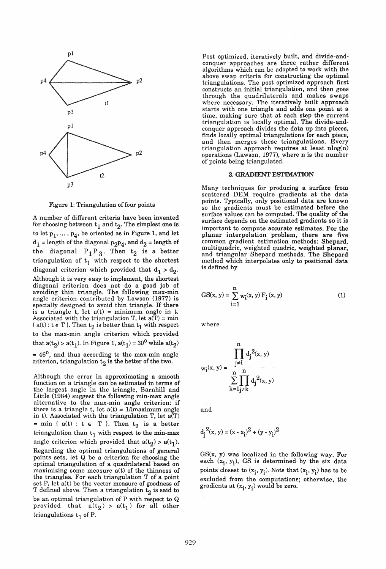

Figure 1: Triangulation of four points

A number of different criteria have been invented for choosing between  $t_1$  and  $t_2$ . The simplest one is to let  $p_1, \ldots, p_4$ , be oriented as in Figure 1, and let  $d_1$  = length of the diagonal  $p_2p_4$ , and  $d_2$  = length of the diagonal  $P_1P_3$ . Then  $t_2$  is a better triangulation of  $t_1$  with respect to the shortest diagonal criterion which provided that  $d_1 > d_2$ . Although it is very easy to implement, the shortest diagonal criterion does not do a good job of avoiding thin triangle. The following max-min angle criterion contributed by Lawson (1977) is specially designed to avoid thin triangle. If there is a triangle  $t$ , let  $a(t) = \text{minimum angle in } t$ . Associated with the triangulation T, let  $a(T) = min$ { $a(t)$  :  $t \in T$  }. Then  $t_2$  is better than  $t_1$  with respect to the max-min angle criterion which provided that  $a(t_2) > a(t_1)$ . In Figure 1,  $a(t_1) = 30^0$  while  $a(t_2)$  $= 46<sup>0</sup>$ , and thus according to the max-min angle criterion, triangulation  $t_2$  is the better of the two.

Although the error in approximating a smooth function on a triangle can be estimated in terms of the largest angle in the triangle, Barnhill and Little (1984) suggest the following min-max angle alternative to the max-min angle criterion: if there is a triangle t, let  $a(t) = 1/(maximum angle$ in t). Associated with the triangulation  $T$ , let  $a(T)$ = min {  $a(t)$  :  $t \in T$  }. Then  $t_2$  is a better triangulation than  $t_1$  with respect to the min-max angle criterion which provided that  $a(t_2) > a(t_1)$ . Regarding the optimal triangulations of general points sets, let Q be a criterion for choosing the optimal triangulation of a quadrilateral based on maximizing some measure  $a(t)$  of the thinness of the triangles. For each triangulation T of a point set P, let  $a(t)$  be the vector measure of goodness of T defined above. Then a triangulation  $t_2$  is said to be an optimal triangulation of P with respect to Q provided that  $a(t_2) > a(t_1)$  for all other triangulations  $t_1$  of P.

Post optimized, iteratively built, and divide-andconquer approaches are three rather different algorithms which can be adopted to work with the above swap criteria for constructing the optimal triangulations. The post optimized approach first constructs an initial triangulation, and then goes through the quadrilaterals and makes swaps where necessary. The iteratively built approach starts with one triangle and adds one point at a time, making sure that at each step the current triangulation is locally optimal. The divide-andconquer approach divides the data up into pieces, finds locally optimal triangulations for each piece, and then merges these triangulations. Every triangulation approach requires at least nlog(n) operations (Lawson, 1977), where n is the number of points being triangulated.

#### 3. GRADIENT ESTIMATION

Many techniques for producing a surface from scattered DEM require gradients at the data points. Typically, only positional data are known so the gradients must be estimated before the surface values can be computed. The quality of the surface depends on the estimated gradients so it is important to compute accurate estimates. For the planar interpolation problem, there are five common gradient estimation methods: Shepard, multiquadric, weighted quadric, weighted planar, and triangular Shepard methods. The Shepard method which interpolates only to positional data is defined by

GS(x, y) = 
$$
\sum_{i=1}^{n} w_i(x, y) F_i(x, y)
$$
 (1)

where

$$
w_i(x, y) = \frac{\prod_{j \neq i}^{n} d_j^2(x, y)}{\sum_{k=1}^{n} \prod_{j \neq k}^{n} d_j^2(x, y)}
$$

and

$$
d_j^2(x, y) = (x - x_i)^2 + (y - y_i)^2
$$

 $GS(x, y)$  was localized in the following way. For each  $(x_i, y_i)$ , GS is determined by the six data points closest to  $(x_i, y_i)$ . Note that  $(x_i, y_i)$  has to be excluded from the computations; otherwise, the gradients at  $(x_i, y_i)$  would be zero.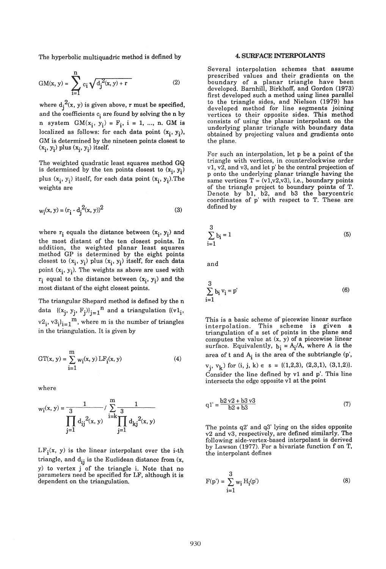The hyperbolic multiquadric method is defined by

$$
GM(x, y) = \sum_{i=1}^{n} c_i \sqrt{d_j^{2}(x, y) + r}
$$
 (2)

where  $d_j^2(x, y)$  is given above, r must be specified, and the coefficients  $c_i$  are found by solving the n by n system  $GM(x_i, y_i) = F_i$ , i = 1, ..., n. GM is localized as follows: for each data point  $(x_i, y_i)$ , GM is determined by the nineteen points closest to  $(x_i, y_i)$  plus  $(x_i, y_i)$  itself.

The weighted quadratic least squares method GQ is determined by the ten points closest to  $(x_i, y_i)$ plus  $(x_i, y_i)$  itself, for each data point  $(x_i, y_i)$ . The weights are

$$
w_i(x, y) = (r_i - d_j^2(x, y))^2
$$
 (3)

where  $r_i$  equals the distance between  $(x_i, y_i)$  and the most distant of the ten closest points. In addition, the weighted planar least squares method GP is determined by the eight points closest to  $(x_i, y_i)$  plus  $(x_i, y_i)$  itself, for each data point  $(x_i, y_i)$ . The weights as above are used with  $r_i$  equal to the distance between  $(x_i, y_i)$  and the most distant of the eight closest points.

The triangular Shepard method is defined by the n data  $\{(x_i, y_i, F_i)\}_{i=1}^n$  and a triangulation  $\{(v1_i,$  $\{v2}_i, v3_i\}_{i=1}^m$ , where m is the number of triangles in the triangulation. It is given by

$$
GT(x, y) = \sum_{i=1}^{m} w_i(x, y) LF_i(x, y)
$$
 (4)

where

$$
w_i(x, y) = \frac{1}{3} \int_{j=1}^{m} d_{ij}^2(x, y) \prod_{j=1}^{m} d_{kj}^2(x, y)
$$

 $LF_i(x, y)$  is the linear interpolant over the i-th triangle, and  $d_{ij}$  is the Euclidean distance from  $(x,$ Y) to vertex j of the triangle i. Note that no parameters need be specified for LF, although it is dependent on the triangulation.

## 4. SURFACE INTERPOLANTS

Several interpolation schemes that assume prescribed values and their gradients on the boundary of a planar triangle have been developed. Barnhill, Birkhoff, and Gordon (1973) first developed such a method using lines parallel to the triangle sides, and Nielson (1979) has developed method for line segments joining vertices to their opposite sides. This method consists of using the planar interpolant on the underlying planar triangle with boundary data obtained by projecting values and gradients onto the plane.

For such an interpolation, let p be a point of the triangle with vertices, in counterclockwise order  $v1, v2$ , and  $v3$ , and let p' be the central projection of p onto the underlying planar triangle having the same vertices  $T = (v1,v2,v3)$ , i.e., boundary points of the triangle project to boundary points of T. Denote by bI, b2, and b3 the barycentric coordinates of p' with respect to T. These are defined by

$$
\sum_{i=1}^{3} b_i = 1 \tag{5}
$$

and

$$
\sum_{i=1}^{3} b_i v_i = p'
$$
 (6)

This is a basic scheme of piecewise linear surface interpolation. This scheme is given a triangulation of a set of points in the plane and computes the value at (x, Y) of a piecewise linear surface. Equivalently,  $b_i = A_i/A$ , where A is the area of t and  $A_i$  is the area of the subtriangle (p',  $v_i$ ,  $v_k$ ) for (i, j, k)  $\in$  s = {(1,2,3), (2,3,1), (3,1,2)}. Consider the line defined by vI and p'. This line intersects the edge opposite vI at the point

$$
q1' = \frac{b2 v2 + b3 v3}{b2 + b3}
$$
 (7)

The points q2' and q3' lying on the sides opposite v2 and v3, respectively, are defined similarly. The following side-vertex-based interpolant is derived by Lawson (1977). For a bivariate function f on T, the interpolant defines

$$
F(p') = \sum_{i=1}^{3} w_i H_i(p')
$$
 (8)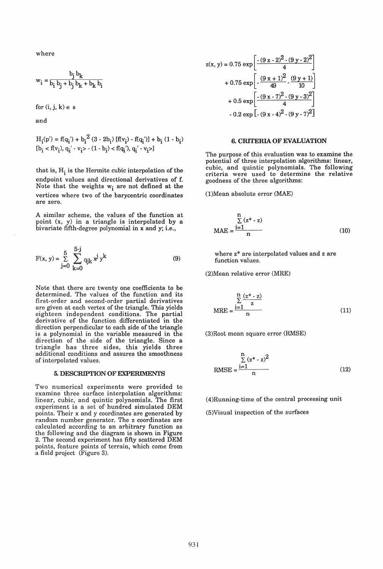where

$$
w_i = \frac{b_j b_k}{b_i b_j + b_j b_k + b_k b_i}
$$

for  $(i, j, k) \in S$ 

and

$$
H_{i}(p') = f(q_{i}) + b_{i}^{2} (3 - 2b_{i}) [f(v_{i}) - f(q_{i})] + b_{i} (1 - b_{i})
$$
  
\n
$$
[b_{i} < f(v_{i}), q_{i} - v_{i} > -(1 - b_{i}) < f(q_{i}), q_{i} - v_{i} >]
$$

that is,  $H_i$  is the Hermite cubic interpolation of the endpoint values and directional derivatives of f. Note that the weights  $w_i$  are not defined at the vertices where two of the barycentric coordinates are zero.

A similar scheme, the values of the function at point (x, y) in a triangle is interpolated by a bivariate fifth-degree polynomial in x and y; i.e.,

$$
F(x, y) = \sum_{j=0}^{5} \sum_{k=0}^{5-j} q_{jk} x^{j} y^{k}
$$
 (9)

Note that there are twenty one coefficients to be determined. The values of the function and its first-order and second-order partial derivatives are given at each vertex of the triangle. This yields eighteen independent conditions. The partial derivative of the function differentiated in the direction perpendicular to each side of the triangle is a polynomial in the variable measured in the direction of the side of the triangle. Since a triangle has three sides, this yields three additional conditions and assures the smoothness of interpolated values.

#### 5. DESCRIPTION OF EXPERIMENTS

Two numerical experiments were provided to examine three surface interpolation algorithms: linear, cubic, and quintic polynomials. The first experiment is a set of hundred simulated DEM points. Their x and y coordinates are generated by random number generator. The z coordinates are calculated according to an arbitrary function as the following and the diagram is shown in Figure 2. The second experiment has fifty scattered DEM points, feature points of terrain, which come from a field project (Figure 3).

$$
z(x, y) = 0.75 \exp\left[-\frac{(9 x - 2)^2 - (9 y - 2)^2}{4}\right] + 0.75 \exp\left[-\frac{(9 x + 1)^2}{49} - \frac{(9 y + 1)}{10}\right] + 0.5 \exp\left[-\frac{(9 x - 7)^2 - (9 y - 3)^2}{4}\right] - 0.2 \exp\left[-(9 x - 4)^2 - (9 y - 7)^2\right]
$$

#### 6. CRITERIA OF EVALUATION

The purpose of this evaluation was to examine the potential of three interpolation algorithms: linear, cubic, and quintic polynomials. The following criteria were used to determine the relative goodness of the three algorithms:

(l)Mean absolute error (MAE)

$$
MAE = \frac{\sum_{i=1}^{n} (z^* \cdot z)}{n}
$$
 (10)

where z\* are interpolated values and z are function values.

(2)Mean relative error (MRE)

$$
\frac{\sum_{z=1}^{n} \frac{(z^* - z)}{z}}{n}
$$

(3)Root mean square error (RMSE)

RMSE = 
$$
\frac{\sum_{i=1}^{n} (z^* - z)^2}{n}
$$
 (12)

(4)Running-time of the central processing unit

(5)Visual inspection of the surfaces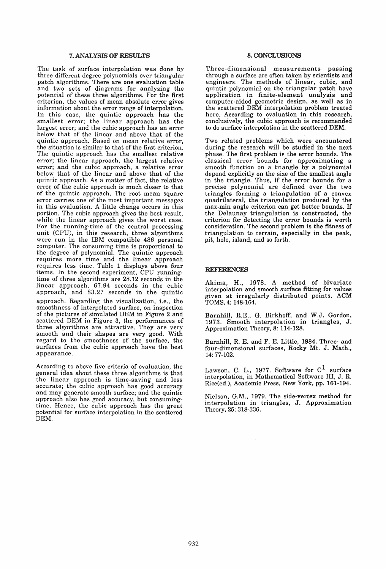## 7. ANALYSIS OF RESULTS

The task of surface interpolation was done by three different degree polynomials over triangular patch algorithms. There are one evaluation table and two sets of diagrams for analyzing the potential of these three algorithms. For the first criterion, the values of mean absolute error gives information about the error range of interpolation. In this case, the quintic approach has the smallest error; the linear approach has the largest error; and the cubic approach has an error below that of the linear and above that of the quintic approach. Based on mean relative error, the situation is similar to that of the first criterion. The quintic approach has the smallest relative error; the linear approach, the largest relative error; and the cubic approach, a relative error below that of the linear and above that of the quintic approach. As a matter of fact, the relative error of the cubic approach is much closer to that of the quintic approach. The root mean square error carries one of the most important messages in this evaluation. A little change occurs in this portion. The cubic approach gives the best result, while the linear approach gives the worst case. For the running-time of the central processing unit (CPU), in this research, three algorithms were run in the IBM compatible 486 personal computer. The consuming time is proportional to the degree of polynomial. The quintic approach requires more time and the linear approach requires less time. Table 1 displays above four items. In the second experiment, CPU runningtime of three algorithms are 28.12 seconds in the linear approach, 67.94 seconds in the cubic approach, and 83.27 seconds in the quintic

approach. Regarding the visualization, i.e., the smoothness of interpolated surface, on inspection of the pictures of simulated DEM in Figure 2 and scattered DEM in Figure 3, the performances of three algorithms are attractive. They are very smooth and their shapes are very good. With regard to the smoothness of the surface, the surfaces from the cubic approach have the best appearance.

According to above five criteria of evaluation, the general idea about these three algorithms is that the linear approach is time-saving and less accurate; the cubic approach has good accuracy and may generate smooth surface; and the quintic approach also has good accuracy, but consumingtime. Hence, the cubic approach has the great potential for surface interpolation in the scattered DEM.

# 8. CONCLUSIONS

Three-dimensional measurements passing through a surface are often taken by scientists and engineers. The methods of linear, cubic, and quintic polynomial on the triangular patch have application in finite-element analysis and computer-aided geometric design, as well as in the scattered DEM interpolation problem treated here. According to evaluation in this research, conclusively, the cubic approach is recommended to do surface interpolation in the scattered DEM.

Two related problems which were encountered during the research will be studied in the next phase. The first problem is the error bounds. The classical error bounds for approximating a smooth function on a triangle by a polynomial depend explicitly on the size of the smallest angle in the triangle. Thus, if the error bounds for a precise polynomial are defined over the two triangles forming a triangulation of a convex quadrilateral, the triangulation produced by the max-min angle criterion can get better bounds. If the Delaunay triangulation is constructed, the criterion for detecting the error bounds is worth consideration. The second problem is the fitness of triangulation to terrain, especially in the peak, pit, hole, island, and so forth.

## REFERENCES

Akima, H., 1978. A method of bivariate interpolation and smooth surface fitting for values given at irregularly distributed points. ACM TOMS, 4: 148-164.

Barnhill, R.E., G. Birkhoff, and W.J. Gordon, 1973. Smooth interpolation in triangles, J. Approximation Theory, 8: 114-128.

Barnhill, R. E. and F. E. Little, 1984. Three- and four-dimensional surfaces, Rocky Mt. J. Math., 14: 77-102.

Lawson, C. L., 1977. Software for  $C^1$  surface interpolation, in Mathematical Software III, J. R. Rice(ed.), Academic Press, New York, pp. 161-194.

Nielson, G.M., 1979. The side-vertex method for interpolation in triangles, J. Approximation Theory, 25: 318-336.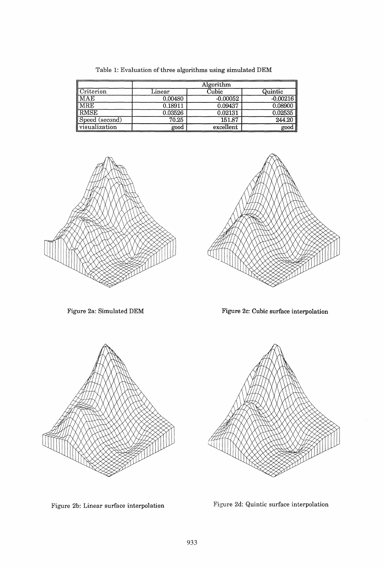|                                       | Algorithm       |            |            |
|---------------------------------------|-----------------|------------|------------|
| $\mathop{\parallel} \text{Criterion}$ | $_{\rm Linear}$ | Cubic      | Quintic    |
| <b>IMAE</b>                           | 0.00480         | $-0.00052$ | $-0.00216$ |
| <b>IMRE</b>                           | 0.18911         | 0.09437    | 0.08900    |
| RMSE                                  | 0.03526         | 0.02131    | 0.02535    |
| Speed (second)                        | 70.25           | 151.87     | 244.20     |
| <i>visualization</i>                  | good            | excellent  | good       |

Table 1: Evaluation of three algorithms using simulated DEM





Figure 2a: Simulated DEM Figure 2c: Cubic surface interpolation